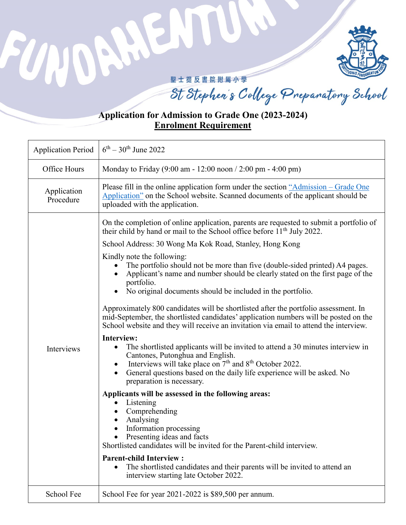

## 聖士提反書院附屬小學

FU

 $\overline{\mathcal{M}}$ 

St Stephen's College Preparatory School

## **Application for Admission to Grade One (2023-2024) Enrolment Requirement**

| <b>Application Period</b> | $6^{th} - 30^{th}$ June 2022                                                                                                                                                                                                                                                                                                                                                                                                                                                                                                                                                                                                                                                                                                                                                                                                                                                                                                                                                                                                                                                                                                                                                                                                                                                                                                                                                                                                                                                                                                                                                                                                              |
|---------------------------|-------------------------------------------------------------------------------------------------------------------------------------------------------------------------------------------------------------------------------------------------------------------------------------------------------------------------------------------------------------------------------------------------------------------------------------------------------------------------------------------------------------------------------------------------------------------------------------------------------------------------------------------------------------------------------------------------------------------------------------------------------------------------------------------------------------------------------------------------------------------------------------------------------------------------------------------------------------------------------------------------------------------------------------------------------------------------------------------------------------------------------------------------------------------------------------------------------------------------------------------------------------------------------------------------------------------------------------------------------------------------------------------------------------------------------------------------------------------------------------------------------------------------------------------------------------------------------------------------------------------------------------------|
| Office Hours              | Monday to Friday (9:00 am - 12:00 noon / 2:00 pm - 4:00 pm)                                                                                                                                                                                                                                                                                                                                                                                                                                                                                                                                                                                                                                                                                                                                                                                                                                                                                                                                                                                                                                                                                                                                                                                                                                                                                                                                                                                                                                                                                                                                                                               |
| Application<br>Procedure  | Please fill in the online application form under the section "Admission – Grade One<br>Application" on the School website. Scanned documents of the applicant should be<br>uploaded with the application.                                                                                                                                                                                                                                                                                                                                                                                                                                                                                                                                                                                                                                                                                                                                                                                                                                                                                                                                                                                                                                                                                                                                                                                                                                                                                                                                                                                                                                 |
| Interviews                | On the completion of online application, parents are requested to submit a portfolio of<br>their child by hand or mail to the School office before 11 <sup>th</sup> July 2022.<br>School Address: 30 Wong Ma Kok Road, Stanley, Hong Kong<br>Kindly note the following:<br>The portfolio should not be more than five (double-sided printed) A4 pages.<br>Applicant's name and number should be clearly stated on the first page of the<br>portfolio.<br>No original documents should be included in the portfolio.<br>$\bullet$<br>Approximately 800 candidates will be shortlisted after the portfolio assessment. In<br>mid-September, the shortlisted candidates' application numbers will be posted on the<br>School website and they will receive an invitation via email to attend the interview.<br><b>Interview:</b><br>The shortlisted applicants will be invited to attend a 30 minutes interview in<br>$\bullet$<br>Cantones, Putonghua and English.<br>Interviews will take place on 7 <sup>th</sup> and 8 <sup>th</sup> October 2022.<br>$\bullet$<br>General questions based on the daily life experience will be asked. No<br>$\bullet$<br>preparation is necessary.<br>Applicants will be assessed in the following areas:<br>Listening<br>$\bullet$<br>Comprehending<br>$\bullet$<br>Analysing<br>$\bullet$<br>Information processing<br>Presenting ideas and facts<br>$\bullet$<br>Shortlisted candidates will be invited for the Parent-child interview.<br><b>Parent-child Interview:</b><br>The shortlisted candidates and their parents will be invited to attend an<br>٠<br>interview starting late October 2022. |
| School Fee                | School Fee for year 2021-2022 is \$89,500 per annum.                                                                                                                                                                                                                                                                                                                                                                                                                                                                                                                                                                                                                                                                                                                                                                                                                                                                                                                                                                                                                                                                                                                                                                                                                                                                                                                                                                                                                                                                                                                                                                                      |